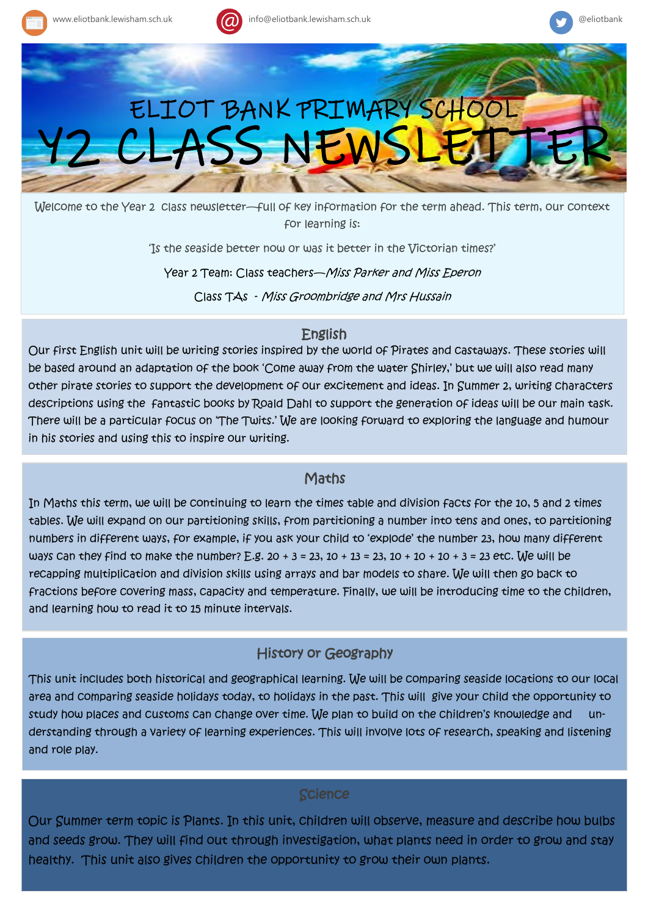





Welcome to the Year 2 class newsletter—full of key information for the term ahead. This term, our context for learning is:

'Is the seaside better now 0r was it better in the Victorian times?'

Year 2 Team: Class teachers-Miss Parker and Miss Eperon

Class TAs - Miss Groombridge and Mrs Hussain

## English

Our first English unit will be writing stories inspired by the world of Pirates and castaways. These stories will be based around an adaptation of the book 'Come away from the water Shirley,' but we will also read many other pirate stories to support the development of our excitement and ideas. In Summer 2, writing characters descriptions using the fantastic books by Roald Dahl to support the generation of ideas will be our main task. There will be a particular focus on 'The Twits.' We are looking forward to exploring the language and humour in his stories and using this to inspire our writing.

## **Maths**

In Maths this term, we will be continuing to learn the times table and division facts for the 10, 5 and 2 times tables. We will expand on our partitioning skills, from partitioning a number into tens and ones, to partitioning numbers in different ways, for example, if you ask your child to 'explode' the number 23, how many different ways can they find to make the number? E.g.  $20 + 3 = 23$ ,  $10 + 13 = 23$ ,  $10 + 10 + 10 + 3 = 23$  etc. We will be recapping multiplication and division skills using arrays and bar models to share. We will then go back to fractions before covering mass, capacity and temperature. Finally, we will be introducing time to the children, and learning how to read it to 15 minute intervals.

# History or Geography

This unit includes both historical and geographical learning. We will be comparing seaside locations to our local area and comparing seaside holidays today, to holidays in the past. This will give your child the opportunity to study how places and customs can change over time. We plan to build on the children's knowledge and understanding through a variety of learning experiences. This will involve lots of research, speaking and listening and role play.

## **Science**

Our Summer term topic is Plants. In this unit, children will observe, measure and describe how bulbs and seeds grow. They will find out through investigation, what plants need in order to grow and stay healthy. This unit also gives children the opportunity to grow their own plants.